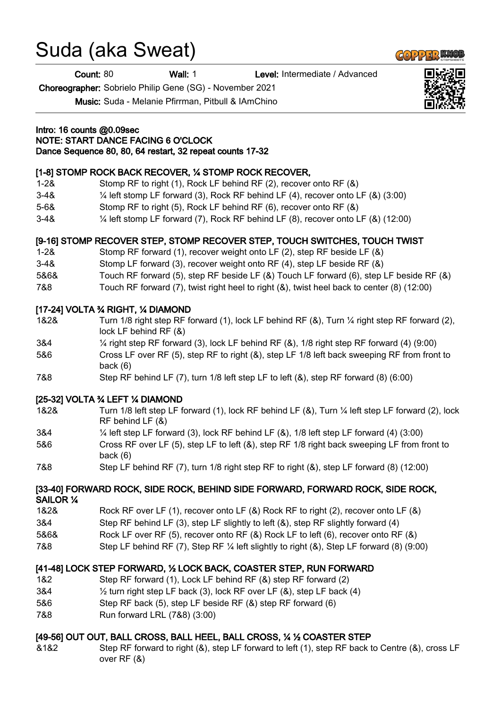# Suda (aka Sweat)

Count: 80 Wall: 1 Level: Intermediate / Advanced

Choreographer: Sobrielo Philip Gene (SG) - November 2021

Music: Suda - Melanie Pfirrman, Pitbull & IAmChino

#### Intro: 16 counts @0.09sec NOTE: START DANCE FACING 6 O'CLOCK Dance Sequence 80, 80, 64 restart, 32 repeat counts 17-32

### [1-8] STOMP ROCK BACK RECOVER, 1/4 STOMP ROCK RECOVER,

- 1-2& Stomp RF to right (1), Rock LF behind RF (2), recover onto RF (&)
- 3-4& ¼ left stomp LF forward (3), Rock RF behind LF (4), recover onto LF (&) (3:00)
- 5-6& Stomp RF to right (5), Rock LF behind RF (6), recover onto RF (&)
- 3-4& ¼ left stomp LF forward (7), Rock RF behind LF (8), recover onto LF (&) (12:00)

## [9-16] STOMP RECOVER STEP, STOMP RECOVER STEP, TOUCH SWITCHES, TOUCH TWIST

- 1-2& Stomp RF forward (1), recover weight onto LF (2), step RF beside LF (&)
- 3-4& Stomp LF forward (3), recover weight onto RF (4), step LF beside RF (&)
- 5&6& Touch RF forward (5), step RF beside LF (&) Touch LF forward (6), step LF beside RF (&)
- 7&8 Touch RF forward (7), twist right heel to right (&), twist heel back to center (8) (12:00)

### [17-24] VOLTA ¾ RIGHT, ¼ DIAMOND

- 1&2& Turn 1/8 right step RF forward (1), lock LF behind RF (&), Turn ¼ right step RF forward (2), lock LF behind RF (&)
- 3&4 ¼ right step RF forward (3), lock LF behind RF (&), 1/8 right step RF forward (4) (9:00)
- 5&6 Cross LF over RF (5), step RF to right (&), step LF 1/8 left back sweeping RF from front to back (6)
- 7&8 Step RF behind LF (7), turn 1/8 left step LF to left (&), step RF forward (8) (6:00)

### [25-32] VOLTA ¾ LEFT ¼ DIAMOND

- 1&2& Turn 1/8 left step LF forward (1), lock RF behind LF (&), Turn ¼ left step LF forward (2), lock RF behind LF (&)
- 3&4 ¼ left step LF forward (3), lock RF behind LF (&), 1/8 left step LF forward (4) (3:00)
- 5&6 Cross RF over LF (5), step LF to left (&), step RF 1/8 right back sweeping LF from front to back (6)
- 7&8 Step LF behind RF (7), turn 1/8 right step RF to right (&), step LF forward (8) (12:00)

#### [33-40] FORWARD ROCK, SIDE ROCK, BEHIND SIDE FORWARD, FORWARD ROCK, SIDE ROCK, SAILOR ¼

- 1&2& Rock RF over LF (1), recover onto LF (&) Rock RF to right (2), recover onto LF (&)
- 3&4 Step RF behind LF (3), step LF slightly to left (&), step RF slightly forward (4)
- 5&6& Rock LF over RF (5), recover onto RF (&) Rock LF to left (6), recover onto RF (&)
- 7&8 Step LF behind RF (7), Step RF ¼ left slightly to right (&), Step LF forward (8) (9:00)

### [41-48] LOCK STEP FORWARD, ½ LOCK BACK, COASTER STEP, RUN FORWARD

- 1&2 Step RF forward (1), Lock LF behind RF (&) step RF forward (2)
- 3&4 ½ turn right step LF back (3), lock RF over LF (&), step LF back (4)
- 5&6 Step RF back (5), step LF beside RF (&) step RF forward (6)
- 7&8 Run forward LRL (7&8) (3:00)

## [49-56] OUT OUT, BALL CROSS, BALL HEEL, BALL CROSS, 1/4 1/2 COASTER STEP

&1&2 Step RF forward to right (&), step LF forward to left (1), step RF back to Centre (&), cross LF over RF (&)